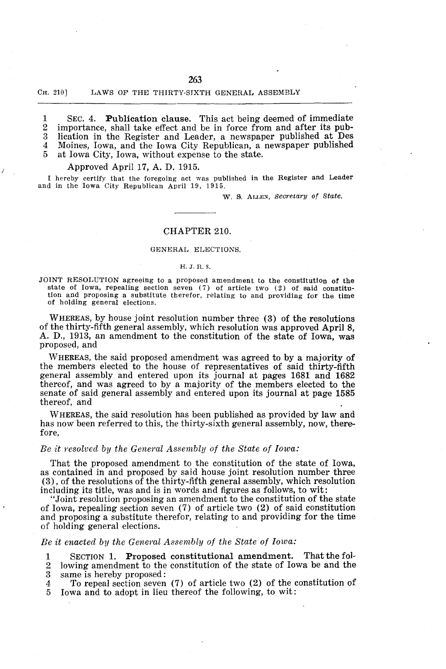### CH. 210] LAWS OF THE THIRTY-SIXTH GENERAL ASSEMBLY

1 SEC. 4. Publication clause. This act being deemed of immediate 2 importance, shall take effect and be in force from and after its pub-3 lication in the Register and Leader, a newspaper published at Des 4 Moines, Iowa, and the Iowa City Republican, a newspaper published 5 at Iowa City Iowa without expense to the state. at Iowa City, Iowa, without expense to the state.

## Approved April 17, A. D. 1915.

I hereby certify that the foregoing act was published in the Register and Leader and in the Iowa City Republican April 19, 1915.

W. S. ALLEN, *Secretary of State*.

# CHAPTER 210.

## GENERAL ELECTIONS.

### H. J. R. S.

JOINT RESOLUTION agreeing to a proposed amendment to the constitution of the state of Iowa, repealing section seven (7) of article two (2) of said constitution and proposing a substitute therefor, relating to and providing for the time of holding general elections.

WHEREAS, by house joint resolution number three (3) of the resolutions of the thirty-fifth general assembly, which resolution was approved April 8, A. D., 1913, an amendment to the constitution of the state of Iowa, was proposed, and

WHEREAS, the said proposed amendment was agreed to by a majority of the members elected to the house of representatives of said thirty-fifth general assembly and entered upon its journal at pages 1681 and 1682 thereof, and was agreed to by a majority of the members elected to the senate of said general assembly and entered upon its journal at page 1585 thereof, and

WHEREAS, the said resolution has been published as provided by law and has now been referred to this, the thirty-sixth general assembly, now, therefore,

## *Be it resolved by the General Assembly of the State of Iowa:*

That the proposed amendment to the constitution of the state of Iowa, as contained in and proposed by said house joint resolution number three (3), of the resolutions of the thirty-fifth general assembly, which resolution including its title, was and is in words and figures as follows, to wit:

"Joint resolution proposing an amendment to the constitution of the state of Iowa, repealing section seven (7) of article two (2) of said constitution and proposing a substitute therefor, relating to and providing for the time of holding general elections.

### *Be it enacted by the General Assembly of the State of Iowa:*

1 SECTION 1. Proposed constitutional amendment. That the fol-<br>2 lowing amendment to the constitution of the state of Iowa be and the 2 lowing amendment to the constitution of the state of Iowa be and the same is hereby proposed:

- same is hereby proposed:
- 4 To repeal section seven (7) of article two (2) of the constitution of
- 5 Iowa and to adopt in lieu thereof the following, to wit: